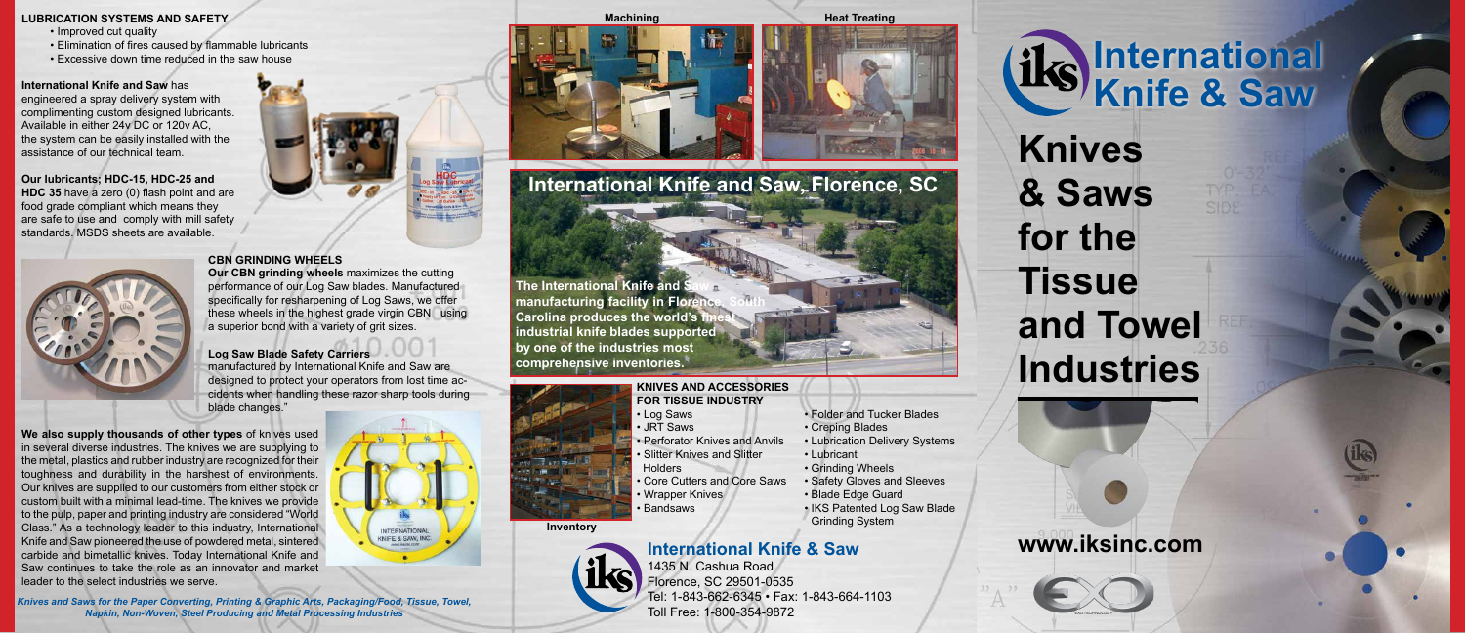# **International Knife & Saw**

**Knives & Saws for the Tissue and Towel Industries**

## **www.iksinc.com**





## **LUBRICATION SYSTEMS AND SAFETY**

- Improved cut quality
- Elimination of fires caused by flammable lubricants
- Excessive down time reduced in the saw house

**International Knife and Saw** has engineered a spray delivery system with complimenting custom designed lubricants. Available in either 24v DC or 120v AC, the system can be easily installed with the assistance of our technical team.

**Our lubricants; HDC-15, HDC-25 and HDC 35** have a zero (0) flash point and are food grade compliant which means they are safe to use and comply with mill safety standards. MSDS sheets are available.



## **CBN GRINDING WHEELS**

**Our CBN grinding wheels** maximizes the cutting performance of our Log Saw blades. Manufactured specifically for resharpening of Log Saws, we offer these wheels in the highest grade virgin CBN using a superior bond with a variety of grit sizes.

## **Log Saw Blade Safety Carriers**

manufactured by International Knife and Saw are designed to protect your operators from lost time accidents when handling these razor sharp tools during blade changes."

> **INTERNATIONAL** KNIFE & SAW, INC.

**We also supply thousands of other types** of knives used in several diverse industries. The knives we are supplying to the metal, plastics and rubber industry are recognized for their toughness and durability in the harshest of environments. Our knives are supplied to our customers from either stock or custom built with a minimal lead-time. The knives we provide to the pulp, paper and printing industry are considered "World Class." As a technology leader to this industry, International Knife and Saw pioneered the use of powdered metal, sintered carbide and bimetallic knives. Today International Knife and Saw continues to take the role as an innovator and market leader to the select industries we serve.

*Knives and Saws for the Paper Converting, Printing & Graphic Arts, Packaging/Food, Tissue, Towel, Napkin, Non-Woven, Steel Producing and Metal Processing Industries*

**International Knife & Saw** 1435 N. Cashua Road Florence, SC 29501-0535 Tel: 1-843-662-6345 • Fax: 1-843-664-1103 Toll Free: 1-800-354-9872



**Machining Machining Reat Treating** 

**Inventory**



**The International Knife and S** 

**manufacturing facility in Floren Carolina produces the world's fill** 

- **KNIVES AND ACCESSORIES FOR TISSUE INDUSTRY**
- Log Saws • JRT Saws
- 
- Perforator Knives and Anvils • Slitter Knives and Slitter
- **Holders** • Core Cutters and Core Saws
- Wrapper Knives
- Bandsaws
- Folder and Tucker Blades
- Creping Blades
- Lubrication Delivery Systems
- Lubricant
- Grinding Wheels
- Safety Gloves and Sleeves
- Blade Edge Guard
- IKS Patented Log Saw Blade Grinding System

**industrial knife blades supported** 

**by one of the industries most** 



# **International Knife and Saw, Florence, SC**